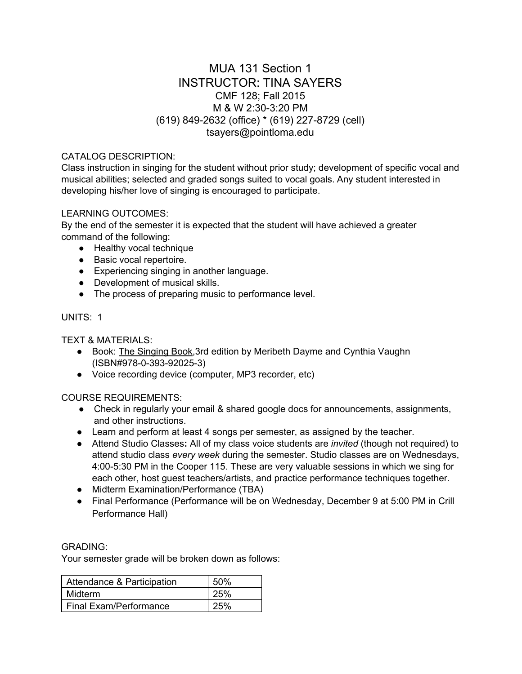# MUA 131 Section 1 INSTRUCTOR: TINA SAYERS CMF 128; Fall 2015 M & W 2:30-3:20 PM (619) 849-2632 (office) \* (619) 227-8729 (cell) tsayers@pointloma.edu

# CATALOG DESCRIPTION:

Class instruction in singing for the student without prior study; development of specific vocal and musical abilities; selected and graded songs suited to vocal goals. Any student interested in developing his/her love of singing is encouraged to participate.

## LEARNING OUTCOMES:

By the end of the semester it is expected that the student will have achieved a greater command of the following:

- Healthy vocal technique
- Basic vocal repertoire.
- Experiencing singing in another language.
- Development of musical skills.
- The process of preparing music to performance level.

## UNITS: 1

TEXT & MATERIALS:

- Book: The Singing Book, 3rd edition by Meribeth Dayme and Cynthia Vaughn (ISBN#978-0-393-92025-3)
- Voice recording device (computer, MP3 recorder, etc)

# COURSE REQUIREMENTS:

- Check in regularly your email & shared google docs for announcements, assignments, and other instructions.
- Learn and perform at least 4 songs per semester, as assigned by the teacher.
- Attend Studio Classes**:**All of my class voice students are *invited* (though not required) to attend studio class *every week* during the semester. Studio classes are on Wednesdays, 4:005:30 PM in the Cooper 115. These are very valuable sessions in which we sing for each other, host guest teachers/artists, and practice performance techniques together.
- Midterm Examination/Performance (TBA)
- Final Performance (Performance will be on Wednesday, December 9 at 5:00 PM in Crill Performance Hall)

#### GRADING:

Your semester grade will be broken down as follows:

| Attendance & Participation | 50% |
|----------------------------|-----|
| Midterm                    | 25% |
| Final Exam/Performance     | 25% |